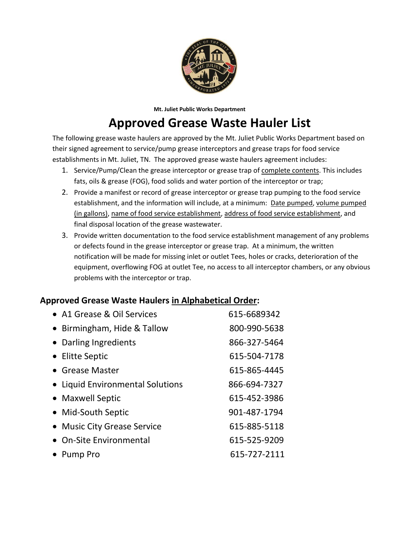

 **Mt. Juliet Public Works Department**

## **Approved Grease Waste Hauler List**

The following grease waste haulers are approved by the Mt. Juliet Public Works Department based on their signed agreement to service/pump grease interceptors and grease traps for food service establishments in Mt. Juliet, TN. The approved grease waste haulers agreement includes:

- 1. Service/Pump/Clean the grease interceptor or grease trap of complete contents. This includes fats, oils & grease (FOG), food solids and water portion of the interceptor or trap;
- 2. Provide a manifest or record of grease interceptor or grease trap pumping to the food service establishment, and the information will include, at a minimum: Date pumped, volume pumped (in gallons), name of food service establishment, address of food service establishment, and final disposal location of the grease wastewater.
- 3. Provide written documentation to the food service establishment management of any problems or defects found in the grease interceptor or grease trap. At a minimum, the written notification will be made for missing inlet or outlet Tees, holes or cracks, deterioration of the equipment, overflowing FOG at outlet Tee, no access to all interceptor chambers, or any obvious problems with the interceptor or trap.

## **Approved Grease Waste Haulers in Alphabetical Order:**

| • A1 Grease & Oil Services       | 615-6689342  |
|----------------------------------|--------------|
| • Birmingham, Hide & Tallow      | 800-990-5638 |
| • Darling Ingredients            | 866-327-5464 |
| • Elitte Septic                  | 615-504-7178 |
| • Grease Master                  | 615-865-4445 |
| • Liquid Environmental Solutions | 866-694-7327 |
| • Maxwell Septic                 | 615-452-3986 |
| • Mid-South Septic               | 901-487-1794 |
| • Music City Grease Service      | 615-885-5118 |
| • On-Site Environmental          | 615-525-9209 |
| Pump Pro                         | 615-727-2111 |
|                                  |              |